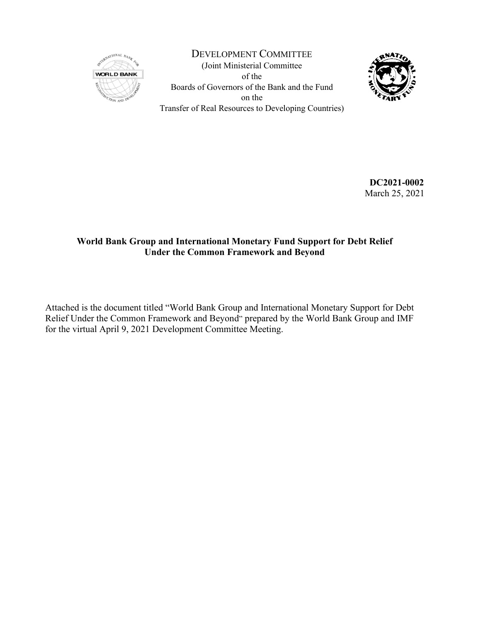

DEVELOPMENT COMMITTEE (Joint Ministerial Committee of the Boards of Governors of the Bank and the Fund on the Transfer of Real Resources to Developing Countries)



**DC2021-0002** March 25, 2021

### **World Bank Group and International Monetary Fund Support for Debt Relief Under the Common Framework and Beyond**

Attached is the document titled "World Bank Group and International Monetary Support for Debt Relief Under the Common Framework and Beyond" prepared by the World Bank Group and IMF for the virtual April 9, 2021 Development Committee Meeting.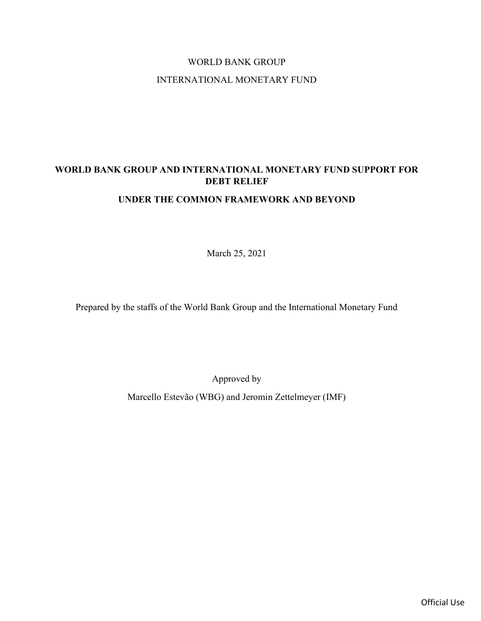# WORLD BANK GROUP INTERNATIONAL MONETARY FUND

# WORLD BANK GROUP AND INTERNATIONAL MONETARY FUND SUPPORT FOR DEBT RELIEF

### UNDER THE COMMON FRAMEWORK AND BEYOND

March 25, 2021

Prepared by the staffs of the World Bank Group and the International Monetary Fund

Approved by

Marcello Estevão (WBG) and Jeromin Zettelmeyer (IMF)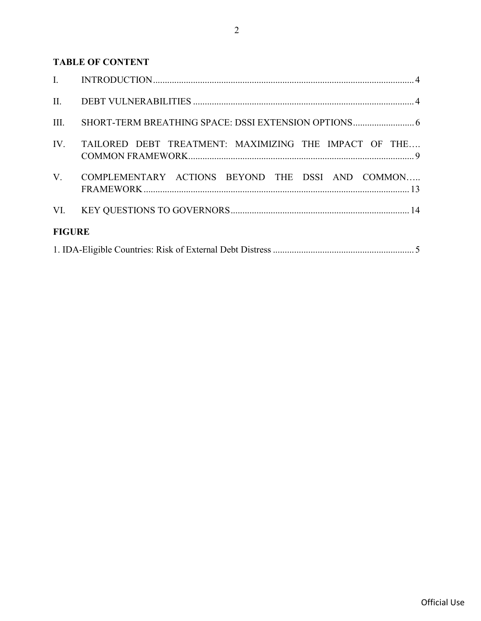## TABLE OF CONTENT

| II.           |                                                       |  |
|---------------|-------------------------------------------------------|--|
| III.          |                                                       |  |
| IV.           | TAILORED DEBT TREATMENT: MAXIMIZING THE IMPACT OF THE |  |
| $V_{\cdot}$   | COMPLEMENTARY ACTIONS BEYOND THE DSSI AND COMMON      |  |
|               |                                                       |  |
| <b>FIGURE</b> |                                                       |  |
|               |                                                       |  |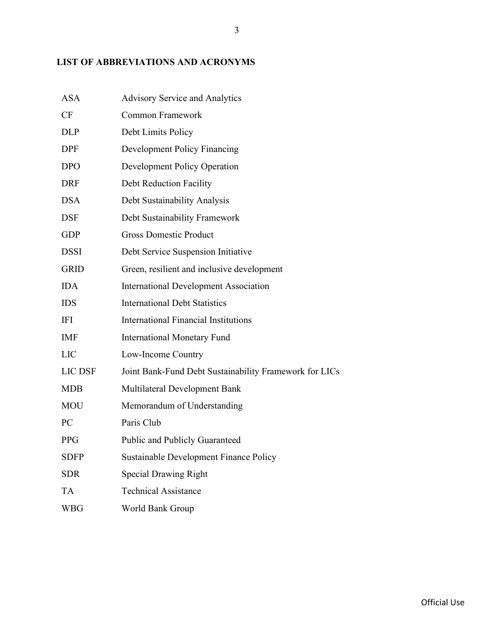# LIST OF ABBREVIATIONS AND ACRONYMS

| <b>ASA</b>  | <b>Advisory Service and Analytics</b>                  |
|-------------|--------------------------------------------------------|
| CF          | <b>Common Framework</b>                                |
| DLP         | Debt Limits Policy                                     |
| DPF         | <b>Development Policy Financing</b>                    |
| <b>DPO</b>  | <b>Development Policy Operation</b>                    |
| DRF         | <b>Debt Reduction Facility</b>                         |
| DSA         | Debt Sustainability Analysis                           |
| DSF         | Debt Sustainability Framework                          |
| GDP         | <b>Gross Domestic Product</b>                          |
| DSSI        | Debt Service Suspension Initiative                     |
| <b>GRID</b> | Green, resilient and inclusive development             |
| IDA         | <b>International Development Association</b>           |
| IDS         | <b>International Debt Statistics</b>                   |
| IFI         | <b>International Financial Institutions</b>            |
| IMF         | <b>International Monetary Fund</b>                     |
| LIC         | Low-Income Country                                     |
| LIC DSF     | Joint Bank-Fund Debt Sustainability Framework for LICs |
| MDB         | Multilateral Development Bank                          |
| MOU         | Memorandum of Understanding                            |
| PC          | Paris Club                                             |
| PPG         | Public and Publicly Guaranteed                         |
| <b>SDFP</b> | Sustainable Development Finance Policy                 |
| <b>SDR</b>  | <b>Special Drawing Right</b>                           |
| TA          | <b>Technical Assistance</b>                            |
| <b>WBG</b>  | World Bank Group                                       |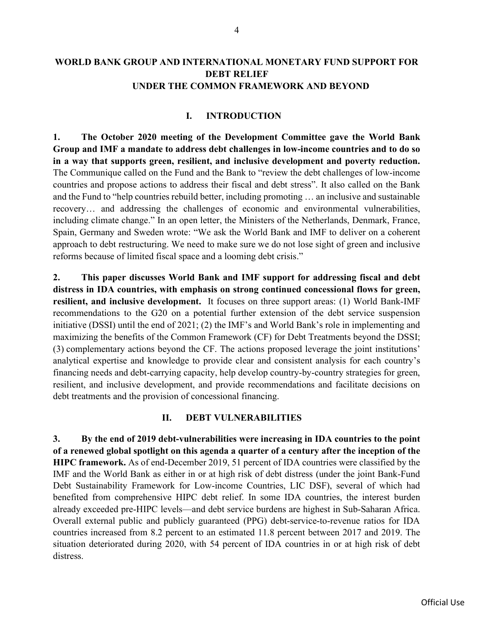#### WORLD BANK GROUP AND INTERNATIONAL MONETARY FUND SUPPORT FOR DEBT RELIEF UNDER THE COMMON FRAMEWORK AND BEYOND

#### I. INTRODUCTION

1. The October 2020 meeting of the Development Committee gave the World Bank Group and IMF a mandate to address debt challenges in low-income countries and to do so in a way that supports green, resilient, and inclusive development and poverty reduction. The Communique called on the Fund and the Bank to "review the debt challenges of low-income countries and propose actions to address their fiscal and debt stress". It also called on the Bank and the Fund to "help countries rebuild better, including promoting … an inclusive and sustainable recovery… and addressing the challenges of economic and environmental vulnerabilities, including climate change." In an open letter, the Ministers of the Netherlands, Denmark, France, Spain, Germany and Sweden wrote: "We ask the World Bank and IMF to deliver on a coherent approach to debt restructuring. We need to make sure we do not lose sight of green and inclusive reforms because of limited fiscal space and a looming debt crisis."

2. This paper discusses World Bank and IMF support for addressing fiscal and debt distress in IDA countries, with emphasis on strong continued concessional flows for green, resilient, and inclusive development. It focuses on three support areas: (1) World Bank-IMF recommendations to the G20 on a potential further extension of the debt service suspension initiative (DSSI) until the end of 2021; (2) the IMF's and World Bank's role in implementing and maximizing the benefits of the Common Framework (CF) for Debt Treatments beyond the DSSI; (3) complementary actions beyond the CF. The actions proposed leverage the joint institutions' analytical expertise and knowledge to provide clear and consistent analysis for each country's financing needs and debt-carrying capacity, help develop country-by-country strategies for green, resilient, and inclusive development, and provide recommendations and facilitate decisions on debt treatments and the provision of concessional financing.

#### II. DEBT VULNERABILITIES

3. By the end of 2019 debt-vulnerabilities were increasing in IDA countries to the point of a renewed global spotlight on this agenda a quarter of a century after the inception of the HIPC framework. As of end-December 2019, 51 percent of IDA countries were classified by the IMF and the World Bank as either in or at high risk of debt distress (under the joint Bank-Fund Debt Sustainability Framework for Low-income Countries, LIC DSF), several of which had benefited from comprehensive HIPC debt relief. In some IDA countries, the interest burden already exceeded pre-HIPC levels—and debt service burdens are highest in Sub-Saharan Africa. Overall external public and publicly guaranteed (PPG) debt-service-to-revenue ratios for IDA countries increased from 8.2 percent to an estimated 11.8 percent between 2017 and 2019. The situation deteriorated during 2020, with 54 percent of IDA countries in or at high risk of debt distress.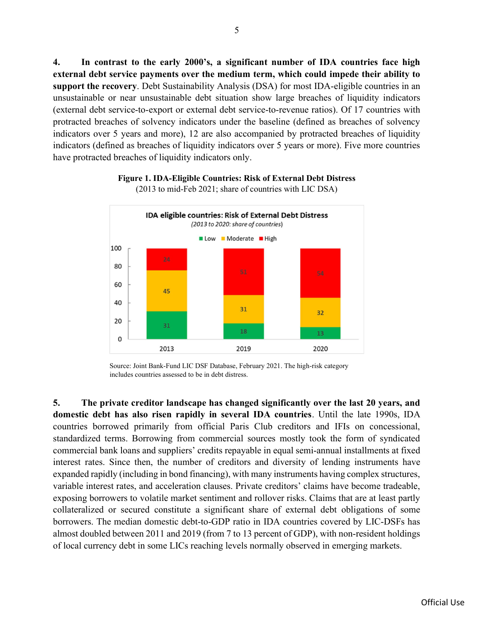4. In contrast to the early 2000's, a significant number of IDA countries face high external debt service payments over the medium term, which could impede their ability to support the recovery. Debt Sustainability Analysis (DSA) for most IDA-eligible countries in an unsustainable or near unsustainable debt situation show large breaches of liquidity indicators (external debt service-to-export or external debt service-to-revenue ratios). Of 17 countries with protracted breaches of solvency indicators under the baseline (defined as breaches of solvency indicators over 5 years and more), 12 are also accompanied by protracted breaches of liquidity indicators (defined as breaches of liquidity indicators over 5 years or more). Five more countries have protracted breaches of liquidity indicators only.



#### Figure 1. IDA-Eligible Countries: Risk of External Debt Distress

(2013 to mid-Feb 2021; share of countries with LIC DSA)

5. The private creditor landscape has changed significantly over the last 20 years, and domestic debt has also risen rapidly in several IDA countries. Until the late 1990s, IDA countries borrowed primarily from official Paris Club creditors and IFIs on concessional, standardized terms. Borrowing from commercial sources mostly took the form of syndicated commercial bank loans and suppliers' credits repayable in equal semi-annual installments at fixed interest rates. Since then, the number of creditors and diversity of lending instruments have expanded rapidly (including in bond financing), with many instruments having complex structures, variable interest rates, and acceleration clauses. Private creditors' claims have become tradeable, exposing borrowers to volatile market sentiment and rollover risks. Claims that are at least partly collateralized or secured constitute a significant share of external debt obligations of some borrowers. The median domestic debt-to-GDP ratio in IDA countries covered by LIC-DSFs has almost doubled between 2011 and 2019 (from 7 to 13 percent of GDP), with non-resident holdings of local currency debt in some LICs reaching levels normally observed in emerging markets.

Source: Joint Bank-Fund LIC DSF Database, February 2021. The high-risk category includes countries assessed to be in debt distress.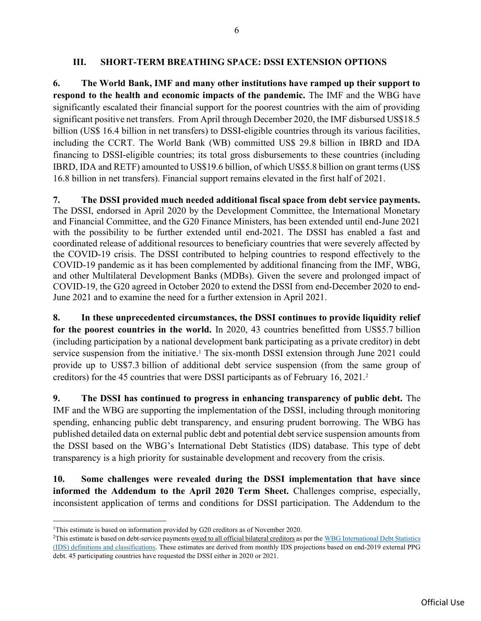#### III. SHORT-TERM BREATHING SPACE: DSSI EXTENSION OPTIONS

6. The World Bank, IMF and many other institutions have ramped up their support to respond to the health and economic impacts of the pandemic. The IMF and the WBG have significantly escalated their financial support for the poorest countries with the aim of providing significant positive net transfers. From April through December 2020, the IMF disbursed US\$18.5 billion (US\$ 16.4 billion in net transfers) to DSSI-eligible countries through its various facilities, including the CCRT. The World Bank (WB) committed US\$ 29.8 billion in IBRD and IDA financing to DSSI-eligible countries; its total gross disbursements to these countries (including IBRD, IDA and RETF) amounted to US\$19.6 billion, of which US\$5.8 billion on grant terms (US\$ 16.8 billion in net transfers). Financial support remains elevated in the first half of 2021.

7. The DSSI provided much needed additional fiscal space from debt service payments. The DSSI, endorsed in April 2020 by the Development Committee, the International Monetary and Financial Committee, and the G20 Finance Ministers, has been extended until end-June 2021 with the possibility to be further extended until end-2021. The DSSI has enabled a fast and coordinated release of additional resources to beneficiary countries that were severely affected by the COVID-19 crisis. The DSSI contributed to helping countries to respond effectively to the COVID-19 pandemic as it has been complemented by additional financing from the IMF, WBG, and other Multilateral Development Banks (MDBs). Given the severe and prolonged impact of COVID-19, the G20 agreed in October 2020 to extend the DSSI from end-December 2020 to end-June 2021 and to examine the need for a further extension in April 2021.

8. In these unprecedented circumstances, the DSSI continues to provide liquidity relief for the poorest countries in the world. In 2020, 43 countries benefitted from US\$5.7 billion (including participation by a national development bank participating as a private creditor) in debt service suspension from the initiative.<sup>1</sup> The six-month DSSI extension through June 2021 could provide up to US\$7.3 billion of additional debt service suspension (from the same group of creditors) for the 45 countries that were DSSI participants as of February 16, 2021.<sup>2</sup>

9. The DSSI has continued to progress in enhancing transparency of public debt. The IMF and the WBG are supporting the implementation of the DSSI, including through monitoring spending, enhancing public debt transparency, and ensuring prudent borrowing. The WBG has published detailed data on external public debt and potential debt service suspension amounts from the DSSI based on the WBG's International Debt Statistics (IDS) database. This type of debt transparency is a high priority for sustainable development and recovery from the crisis.

10. Some challenges were revealed during the DSSI implementation that have since informed the Addendum to the April 2020 Term Sheet. Challenges comprise, especially, inconsistent application of terms and conditions for DSSI participation. The Addendum to the

<sup>&</sup>lt;sup>1</sup>This estimate is based on information provided by G20 creditors as of November 2020.

<sup>&</sup>lt;sup>2</sup>This estimate is based on debt-service payments owed to all official bilateral creditors as per the WBG International Debt Statistics (IDS) definitions and classifications. These estimates are derived from monthly IDS projections based on end-2019 external PPG debt. 45 participating countries have requested the DSSI either in 2020 or 2021.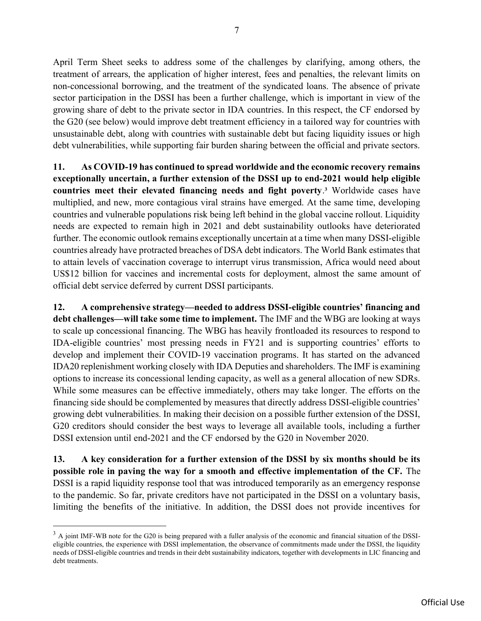April Term Sheet seeks to address some of the challenges by clarifying, among others, the treatment of arrears, the application of higher interest, fees and penalties, the relevant limits on non-concessional borrowing, and the treatment of the syndicated loans. The absence of private sector participation in the DSSI has been a further challenge, which is important in view of the growing share of debt to the private sector in IDA countries. In this respect, the CF endorsed by the G20 (see below) would improve debt treatment efficiency in a tailored way for countries with unsustainable debt, along with countries with sustainable debt but facing liquidity issues or high debt vulnerabilities, while supporting fair burden sharing between the official and private sectors.

11. As COVID-19 has continued to spread worldwide and the economic recovery remains exceptionally uncertain, a further extension of the DSSI up to end-2021 would help eligible countries meet their elevated financing needs and fight poverty.<sup>3</sup> Worldwide cases have multiplied, and new, more contagious viral strains have emerged. At the same time, developing countries and vulnerable populations risk being left behind in the global vaccine rollout. Liquidity needs are expected to remain high in 2021 and debt sustainability outlooks have deteriorated further. The economic outlook remains exceptionally uncertain at a time when many DSSI-eligible countries already have protracted breaches of DSA debt indicators. The World Bank estimates that to attain levels of vaccination coverage to interrupt virus transmission, Africa would need about US\$12 billion for vaccines and incremental costs for deployment, almost the same amount of official debt service deferred by current DSSI participants.

12. A comprehensive strategy—needed to address DSSI-eligible countries' financing and debt challenges—will take some time to implement. The IMF and the WBG are looking at ways to scale up concessional financing. The WBG has heavily frontloaded its resources to respond to IDA-eligible countries' most pressing needs in FY21 and is supporting countries' efforts to develop and implement their COVID-19 vaccination programs. It has started on the advanced IDA20 replenishment working closely with IDA Deputies and shareholders. The IMF is examining options to increase its concessional lending capacity, as well as a general allocation of new SDRs. While some measures can be effective immediately, others may take longer. The efforts on the financing side should be complemented by measures that directly address DSSI-eligible countries' growing debt vulnerabilities. In making their decision on a possible further extension of the DSSI, G20 creditors should consider the best ways to leverage all available tools, including a further DSSI extension until end-2021 and the CF endorsed by the G20 in November 2020.

13. A key consideration for a further extension of the DSSI by six months should be its possible role in paving the way for a smooth and effective implementation of the CF. The DSSI is a rapid liquidity response tool that was introduced temporarily as an emergency response to the pandemic. So far, private creditors have not participated in the DSSI on a voluntary basis, limiting the benefits of the initiative. In addition, the DSSI does not provide incentives for

 $3$  A joint IMF-WB note for the G20 is being prepared with a fuller analysis of the economic and financial situation of the DSSIeligible countries, the experience with DSSI implementation, the observance of commitments made under the DSSI, the liquidity needs of DSSI-eligible countries and trends in their debt sustainability indicators, together with developments in LIC financing and debt treatments.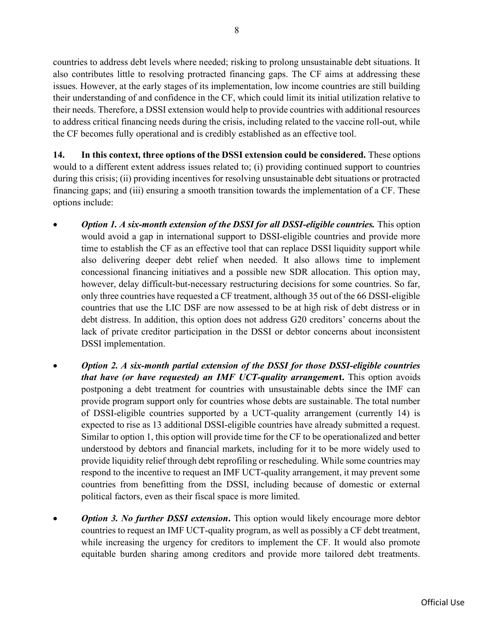countries to address debt levels where needed; risking to prolong unsustainable debt situations. It also contributes little to resolving protracted financing gaps. The CF aims at addressing these issues. However, at the early stages of its implementation, low income countries are still building their understanding of and confidence in the CF, which could limit its initial utilization relative to their needs. Therefore, a DSSI extension would help to provide countries with additional resources to address critical financing needs during the crisis, including related to the vaccine roll-out, while the CF becomes fully operational and is credibly established as an effective tool.

14. In this context, three options of the DSSI extension could be considered. These options would to a different extent address issues related to; (i) providing continued support to countries during this crisis; (ii) providing incentives for resolving unsustainable debt situations or protracted financing gaps; and (iii) ensuring a smooth transition towards the implementation of a CF. These options include:

- **Option 1. A six-month extension of the DSSI for all DSSI-eligible countries.** This option would avoid a gap in international support to DSSI-eligible countries and provide more time to establish the CF as an effective tool that can replace DSSI liquidity support while also delivering deeper debt relief when needed. It also allows time to implement concessional financing initiatives and a possible new SDR allocation. This option may, however, delay difficult-but-necessary restructuring decisions for some countries. So far, only three countries have requested a CF treatment, although 35 out of the 66 DSSI-eligible countries that use the LIC DSF are now assessed to be at high risk of debt distress or in debt distress. In addition, this option does not address G20 creditors' concerns about the lack of private creditor participation in the DSSI or debtor concerns about inconsistent DSSI implementation.
- Option 2. A six-month partial extension of the DSSI for those DSSI-eligible countries that have (or have requested) an IMF UCT-quality arrangement. This option avoids postponing a debt treatment for countries with unsustainable debts since the IMF can provide program support only for countries whose debts are sustainable. The total number of DSSI-eligible countries supported by a UCT-quality arrangement (currently 14) is expected to rise as 13 additional DSSI-eligible countries have already submitted a request. Similar to option 1, this option will provide time for the CF to be operationalized and better understood by debtors and financial markets, including for it to be more widely used to provide liquidity relief through debt reprofiling or rescheduling. While some countries may respond to the incentive to request an IMF UCT-quality arrangement, it may prevent some countries from benefitting from the DSSI, including because of domestic or external political factors, even as their fiscal space is more limited.
- Option 3. No further DSSI extension. This option would likely encourage more debtor countries to request an IMF UCT-quality program, as well as possibly a CF debt treatment, while increasing the urgency for creditors to implement the CF. It would also promote equitable burden sharing among creditors and provide more tailored debt treatments.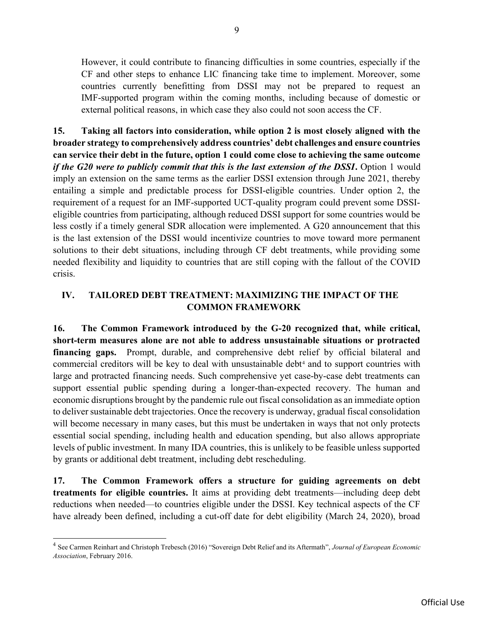However, it could contribute to financing difficulties in some countries, especially if the CF and other steps to enhance LIC financing take time to implement. Moreover, some countries currently benefitting from DSSI may not be prepared to request an IMF-supported program within the coming months, including because of domestic or external political reasons, in which case they also could not soon access the CF.

15. Taking all factors into consideration, while option 2 is most closely aligned with the broader strategy to comprehensively address countries' debt challenges and ensure countries can service their debt in the future, option 1 could come close to achieving the same outcome if the  $G20$  were to publicly commit that this is the last extension of the  $DSSI$ . Option 1 would imply an extension on the same terms as the earlier DSSI extension through June 2021, thereby entailing a simple and predictable process for DSSI-eligible countries. Under option 2, the requirement of a request for an IMF-supported UCT-quality program could prevent some DSSIeligible countries from participating, although reduced DSSI support for some countries would be less costly if a timely general SDR allocation were implemented. A G20 announcement that this is the last extension of the DSSI would incentivize countries to move toward more permanent solutions to their debt situations, including through CF debt treatments, while providing some needed flexibility and liquidity to countries that are still coping with the fallout of the COVID crisis.

### IV. TAILORED DEBT TREATMENT: MAXIMIZING THE IMPACT OF THE COMMON FRAMEWORK

16. The Common Framework introduced by the G-20 recognized that, while critical, short-term measures alone are not able to address unsustainable situations or protracted financing gaps. Prompt, durable, and comprehensive debt relief by official bilateral and commercial creditors will be key to deal with unsustainable debt<sup>4</sup> and to support countries with large and protracted financing needs. Such comprehensive yet case-by-case debt treatments can support essential public spending during a longer-than-expected recovery. The human and economic disruptions brought by the pandemic rule out fiscal consolidation as an immediate option to deliver sustainable debt trajectories. Once the recovery is underway, gradual fiscal consolidation will become necessary in many cases, but this must be undertaken in ways that not only protects essential social spending, including health and education spending, but also allows appropriate levels of public investment. In many IDA countries, this is unlikely to be feasible unless supported by grants or additional debt treatment, including debt rescheduling.

17. The Common Framework offers a structure for guiding agreements on debt treatments for eligible countries. It aims at providing debt treatments—including deep debt reductions when needed—to countries eligible under the DSSI. Key technical aspects of the CF have already been defined, including a cut-off date for debt eligibility (March 24, 2020), broad

<sup>&</sup>lt;sup>4</sup> See Carmen Reinhart and Christoph Trebesch (2016) "Sovereign Debt Relief and its Aftermath", Journal of European Economic Association, February 2016.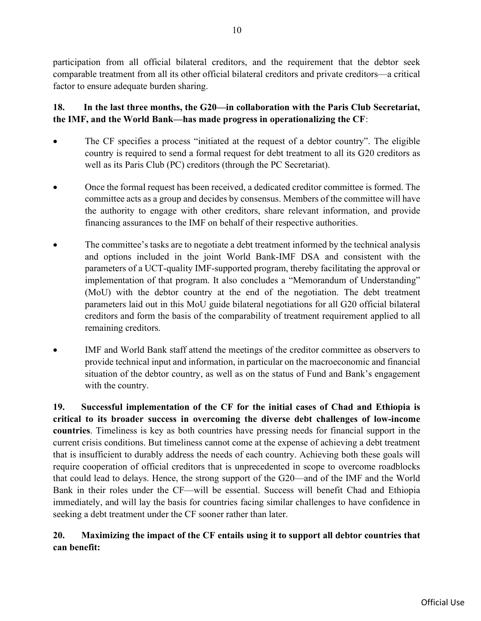participation from all official bilateral creditors, and the requirement that the debtor seek comparable treatment from all its other official bilateral creditors and private creditors—a critical factor to ensure adequate burden sharing.

### 18. In the last three months, the G20—in collaboration with the Paris Club Secretariat, the IMF, and the World Bank—has made progress in operationalizing the CF:

- The CF specifies a process "initiated at the request of a debtor country". The eligible country is required to send a formal request for debt treatment to all its G20 creditors as well as its Paris Club (PC) creditors (through the PC Secretariat).
- Once the formal request has been received, a dedicated creditor committee is formed. The committee acts as a group and decides by consensus. Members of the committee will have the authority to engage with other creditors, share relevant information, and provide financing assurances to the IMF on behalf of their respective authorities.
- The committee's tasks are to negotiate a debt treatment informed by the technical analysis and options included in the joint World Bank-IMF DSA and consistent with the parameters of a UCT-quality IMF-supported program, thereby facilitating the approval or implementation of that program. It also concludes a "Memorandum of Understanding" (MoU) with the debtor country at the end of the negotiation. The debt treatment parameters laid out in this MoU guide bilateral negotiations for all G20 official bilateral creditors and form the basis of the comparability of treatment requirement applied to all remaining creditors.
- IMF and World Bank staff attend the meetings of the creditor committee as observers to provide technical input and information, in particular on the macroeconomic and financial situation of the debtor country, as well as on the status of Fund and Bank's engagement with the country.

19. Successful implementation of the CF for the initial cases of Chad and Ethiopia is critical to its broader success in overcoming the diverse debt challenges of low-income countries. Timeliness is key as both countries have pressing needs for financial support in the current crisis conditions. But timeliness cannot come at the expense of achieving a debt treatment that is insufficient to durably address the needs of each country. Achieving both these goals will require cooperation of official creditors that is unprecedented in scope to overcome roadblocks that could lead to delays. Hence, the strong support of the G20—and of the IMF and the World Bank in their roles under the CF—will be essential. Success will benefit Chad and Ethiopia immediately, and will lay the basis for countries facing similar challenges to have confidence in seeking a debt treatment under the CF sooner rather than later.

### 20. Maximizing the impact of the CF entails using it to support all debtor countries that can benefit: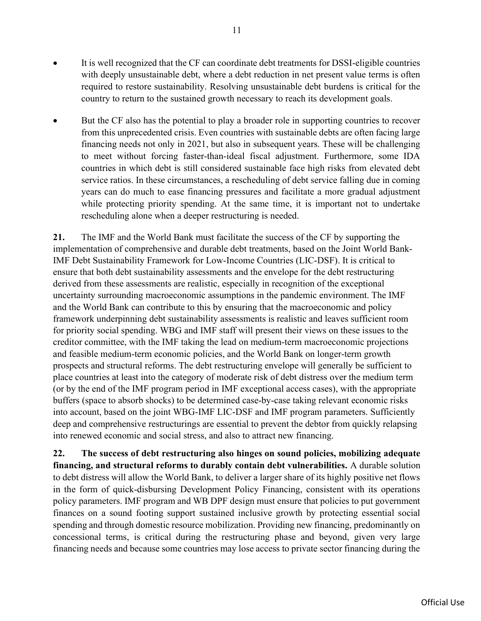- It is well recognized that the CF can coordinate debt treatments for DSSI-eligible countries with deeply unsustainable debt, where a debt reduction in net present value terms is often required to restore sustainability. Resolving unsustainable debt burdens is critical for the country to return to the sustained growth necessary to reach its development goals.
- But the CF also has the potential to play a broader role in supporting countries to recover from this unprecedented crisis. Even countries with sustainable debts are often facing large financing needs not only in 2021, but also in subsequent years. These will be challenging to meet without forcing faster-than-ideal fiscal adjustment. Furthermore, some IDA countries in which debt is still considered sustainable face high risks from elevated debt service ratios. In these circumstances, a rescheduling of debt service falling due in coming years can do much to ease financing pressures and facilitate a more gradual adjustment while protecting priority spending. At the same time, it is important not to undertake rescheduling alone when a deeper restructuring is needed.

21. The IMF and the World Bank must facilitate the success of the CF by supporting the implementation of comprehensive and durable debt treatments, based on the Joint World Bank-IMF Debt Sustainability Framework for Low-Income Countries (LIC-DSF). It is critical to ensure that both debt sustainability assessments and the envelope for the debt restructuring derived from these assessments are realistic, especially in recognition of the exceptional uncertainty surrounding macroeconomic assumptions in the pandemic environment. The IMF and the World Bank can contribute to this by ensuring that the macroeconomic and policy framework underpinning debt sustainability assessments is realistic and leaves sufficient room for priority social spending. WBG and IMF staff will present their views on these issues to the creditor committee, with the IMF taking the lead on medium-term macroeconomic projections and feasible medium-term economic policies, and the World Bank on longer-term growth prospects and structural reforms. The debt restructuring envelope will generally be sufficient to place countries at least into the category of moderate risk of debt distress over the medium term (or by the end of the IMF program period in IMF exceptional access cases), with the appropriate buffers (space to absorb shocks) to be determined case-by-case taking relevant economic risks into account, based on the joint WBG-IMF LIC-DSF and IMF program parameters. Sufficiently deep and comprehensive restructurings are essential to prevent the debtor from quickly relapsing into renewed economic and social stress, and also to attract new financing.

22. The success of debt restructuring also hinges on sound policies, mobilizing adequate financing, and structural reforms to durably contain debt vulnerabilities. A durable solution to debt distress will allow the World Bank, to deliver a larger share of its highly positive net flows in the form of quick-disbursing Development Policy Financing, consistent with its operations policy parameters. IMF program and WB DPF design must ensure that policies to put government finances on a sound footing support sustained inclusive growth by protecting essential social spending and through domestic resource mobilization. Providing new financing, predominantly on concessional terms, is critical during the restructuring phase and beyond, given very large financing needs and because some countries may lose access to private sector financing during the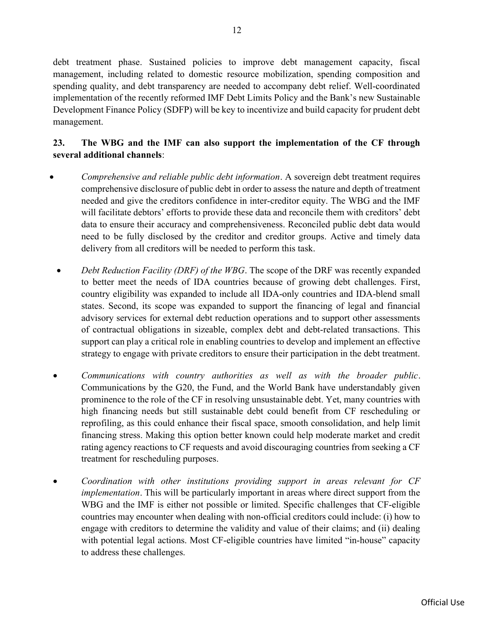debt treatment phase. Sustained policies to improve debt management capacity, fiscal management, including related to domestic resource mobilization, spending composition and spending quality, and debt transparency are needed to accompany debt relief. Well-coordinated implementation of the recently reformed IMF Debt Limits Policy and the Bank's new Sustainable Development Finance Policy (SDFP) will be key to incentivize and build capacity for prudent debt management.

### 23. The WBG and the IMF can also support the implementation of the CF through several additional channels:

- Comprehensive and reliable public debt information. A sovereign debt treatment requires comprehensive disclosure of public debt in order to assess the nature and depth of treatment needed and give the creditors confidence in inter-creditor equity. The WBG and the IMF will facilitate debtors' efforts to provide these data and reconcile them with creditors' debt data to ensure their accuracy and comprehensiveness. Reconciled public debt data would need to be fully disclosed by the creditor and creditor groups. Active and timely data delivery from all creditors will be needed to perform this task.
- Debt Reduction Facility (DRF) of the WBG. The scope of the DRF was recently expanded to better meet the needs of IDA countries because of growing debt challenges. First, country eligibility was expanded to include all IDA-only countries and IDA-blend small states. Second, its scope was expanded to support the financing of legal and financial advisory services for external debt reduction operations and to support other assessments of contractual obligations in sizeable, complex debt and debt-related transactions. This support can play a critical role in enabling countries to develop and implement an effective strategy to engage with private creditors to ensure their participation in the debt treatment.
- Communications with country authorities as well as with the broader public. Communications by the G20, the Fund, and the World Bank have understandably given prominence to the role of the CF in resolving unsustainable debt. Yet, many countries with high financing needs but still sustainable debt could benefit from CF rescheduling or reprofiling, as this could enhance their fiscal space, smooth consolidation, and help limit financing stress. Making this option better known could help moderate market and credit rating agency reactions to CF requests and avoid discouraging countries from seeking a CF treatment for rescheduling purposes.
- Coordination with other institutions providing support in areas relevant for CF implementation. This will be particularly important in areas where direct support from the WBG and the IMF is either not possible or limited. Specific challenges that CF-eligible countries may encounter when dealing with non-official creditors could include: (i) how to engage with creditors to determine the validity and value of their claims; and (ii) dealing with potential legal actions. Most CF-eligible countries have limited "in-house" capacity to address these challenges.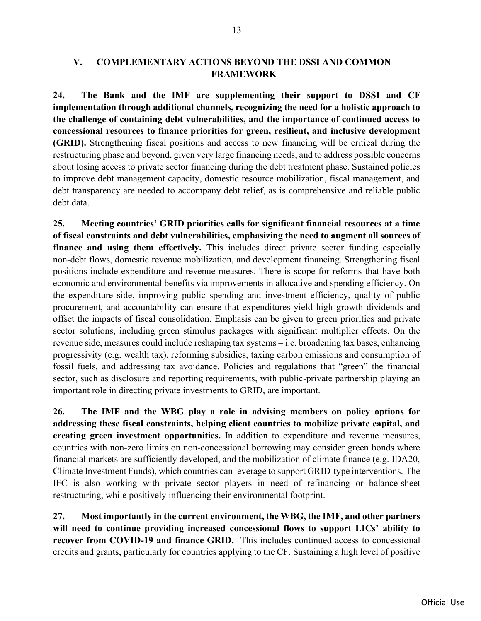### V. COMPLEMENTARY ACTIONS BEYOND THE DSSI AND COMMON FRAMEWORK

24. The Bank and the IMF are supplementing their support to DSSI and CF implementation through additional channels, recognizing the need for a holistic approach to the challenge of containing debt vulnerabilities, and the importance of continued access to concessional resources to finance priorities for green, resilient, and inclusive development (GRID). Strengthening fiscal positions and access to new financing will be critical during the restructuring phase and beyond, given very large financing needs, and to address possible concerns about losing access to private sector financing during the debt treatment phase. Sustained policies to improve debt management capacity, domestic resource mobilization, fiscal management, and debt transparency are needed to accompany debt relief, as is comprehensive and reliable public debt data.

25. Meeting countries' GRID priorities calls for significant financial resources at a time of fiscal constraints and debt vulnerabilities, emphasizing the need to augment all sources of finance and using them effectively. This includes direct private sector funding especially non-debt flows, domestic revenue mobilization, and development financing. Strengthening fiscal positions include expenditure and revenue measures. There is scope for reforms that have both economic and environmental benefits via improvements in allocative and spending efficiency. On the expenditure side, improving public spending and investment efficiency, quality of public procurement, and accountability can ensure that expenditures yield high growth dividends and offset the impacts of fiscal consolidation. Emphasis can be given to green priorities and private sector solutions, including green stimulus packages with significant multiplier effects. On the revenue side, measures could include reshaping tax systems – i.e. broadening tax bases, enhancing progressivity (e.g. wealth tax), reforming subsidies, taxing carbon emissions and consumption of fossil fuels, and addressing tax avoidance. Policies and regulations that "green" the financial sector, such as disclosure and reporting requirements, with public-private partnership playing an important role in directing private investments to GRID, are important.

26. The IMF and the WBG play a role in advising members on policy options for addressing these fiscal constraints, helping client countries to mobilize private capital, and creating green investment opportunities. In addition to expenditure and revenue measures, countries with non-zero limits on non-concessional borrowing may consider green bonds where financial markets are sufficiently developed, and the mobilization of climate finance (e.g. IDA20, Climate Investment Funds), which countries can leverage to support GRID-type interventions. The IFC is also working with private sector players in need of refinancing or balance-sheet restructuring, while positively influencing their environmental footprint.

27. Most importantly in the current environment, the WBG, the IMF, and other partners will need to continue providing increased concessional flows to support LICs' ability to recover from COVID-19 and finance GRID. This includes continued access to concessional credits and grants, particularly for countries applying to the CF. Sustaining a high level of positive